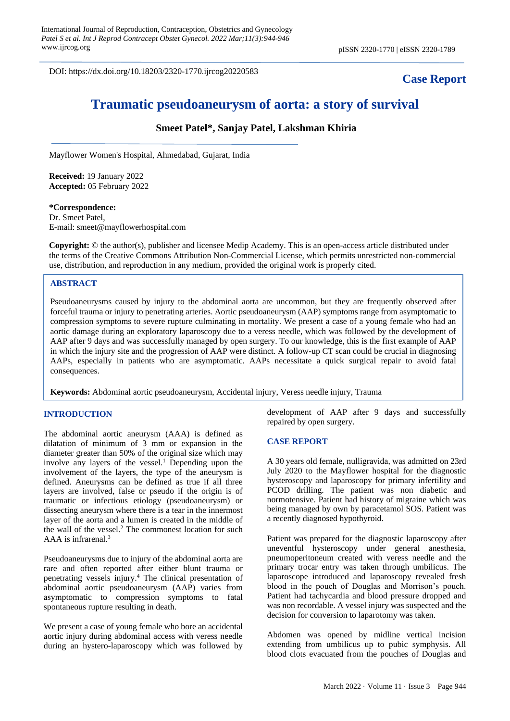DOI: https://dx.doi.org/10.18203/2320-1770.ijrcog20220583

# **Case Report**

# **Traumatic pseudoaneurysm of aorta: a story of survival**

# **Smeet Patel\*, Sanjay Patel, Lakshman Khiria**

Mayflower Women's Hospital, Ahmedabad, Gujarat, India

**Received:** 19 January 2022 **Accepted:** 05 February 2022

**\*Correspondence:** Dr. Smeet Patel, E-mail: smeet@mayflowerhospital.com

**Copyright:** © the author(s), publisher and licensee Medip Academy. This is an open-access article distributed under the terms of the Creative Commons Attribution Non-Commercial License, which permits unrestricted non-commercial use, distribution, and reproduction in any medium, provided the original work is properly cited.

# **ABSTRACT**

Pseudoaneurysms caused by injury to the abdominal aorta are uncommon, but they are frequently observed after forceful trauma or injury to penetrating arteries. Aortic pseudoaneurysm (AAP) symptoms range from asymptomatic to compression symptoms to severe rupture culminating in mortality. We present a case of a young female who had an aortic damage during an exploratory laparoscopy due to a veress needle, which was followed by the development of AAP after 9 days and was successfully managed by open surgery. To our knowledge, this is the first example of AAP in which the injury site and the progression of AAP were distinct. A follow-up CT scan could be crucial in diagnosing AAPs, especially in patients who are asymptomatic. AAPs necessitate a quick surgical repair to avoid fatal consequences.

**Keywords:** Abdominal aortic pseudoaneurysm, Accidental injury, Veress needle injury, Trauma

# **INTRODUCTION**

The abdominal aortic aneurysm (AAA) is defined as dilatation of minimum of 3 mm or expansion in the diameter greater than 50% of the original size which may involve any layers of the vessel.<sup>1</sup> Depending upon the involvement of the layers, the type of the aneurysm is defined. Aneurysms can be defined as true if all three layers are involved, false or pseudo if the origin is of traumatic or infectious etiology (pseudoaneurysm) or dissecting aneurysm where there is a tear in the innermost layer of the aorta and a lumen is created in the middle of the wall of the vessel.<sup>2</sup> The commonest location for such AAA is infrarenal.<sup>3</sup>

Pseudoaneurysms due to injury of the abdominal aorta are rare and often reported after either blunt trauma or penetrating vessels injury.<sup>4</sup> The clinical presentation of abdominal aortic pseudoaneurysm (AAP) varies from asymptomatic to compression symptoms to fatal spontaneous rupture resulting in death.

We present a case of young female who bore an accidental aortic injury during abdominal access with veress needle during an hystero-laparoscopy which was followed by development of AAP after 9 days and successfully repaired by open surgery.

#### **CASE REPORT**

A 30 years old female, nulligravida, was admitted on 23rd July 2020 to the Mayflower hospital for the diagnostic hysteroscopy and laparoscopy for primary infertility and PCOD drilling. The patient was non diabetic and normotensive. Patient had history of migraine which was being managed by own by paracetamol SOS. Patient was a recently diagnosed hypothyroid.

Patient was prepared for the diagnostic laparoscopy after uneventful hysteroscopy under general anesthesia, pneumoperitoneum created with veress needle and the primary trocar entry was taken through umbilicus. The laparoscope introduced and laparoscopy revealed fresh blood in the pouch of Douglas and Morrison's pouch. Patient had tachycardia and blood pressure dropped and was non recordable. A vessel injury was suspected and the decision for conversion to laparotomy was taken.

Abdomen was opened by midline vertical incision extending from umbilicus up to pubic symphysis. All blood clots evacuated from the pouches of Douglas and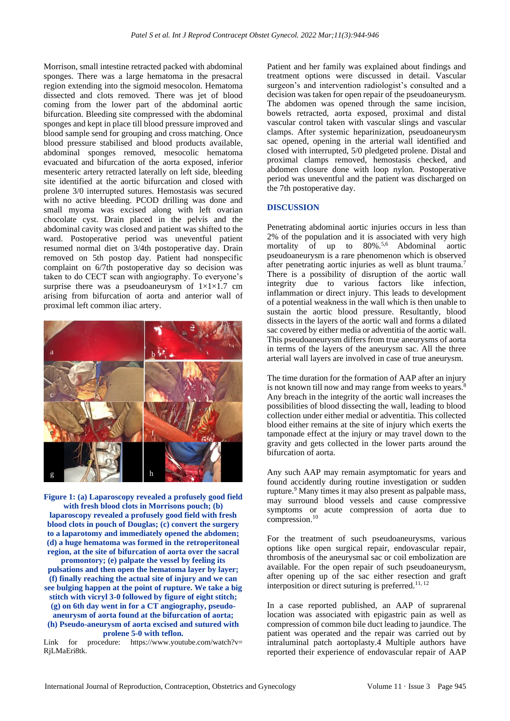Morrison, small intestine retracted packed with abdominal sponges. There was a large hematoma in the presacral region extending into the sigmoid mesocolon. Hematoma dissected and clots removed. There was jet of blood coming from the lower part of the abdominal aortic bifurcation. Bleeding site compressed with the abdominal sponges and kept in place till blood pressure improved and blood sample send for grouping and cross matching. Once blood pressure stabilised and blood products available, abdominal sponges removed, mesocolic hematoma evacuated and bifurcation of the aorta exposed, inferior mesenteric artery retracted laterally on left side, bleeding site identified at the aortic bifurcation and closed with prolene 3/0 interrupted sutures. Hemostasis was secured with no active bleeding. PCOD drilling was done and small myoma was excised along with left ovarian chocolate cyst. Drain placed in the pelvis and the abdominal cavity was closed and patient was shifted to the ward. Postoperative period was uneventful patient resumed normal diet on 3/4th postoperative day. Drain removed on 5th postop day. Patient had nonspecific complaint on 6/7th postoperative day so decision was taken to do CECT scan with angiography. To everyone's surprise there was a pseudoaneurysm of  $1\times1\times1.7$  cm arising from bifurcation of aorta and anterior wall of proximal left common iliac artery.



**Figure 1: (a) Laparoscopy revealed a profusely good field with fresh blood clots in Morrisons pouch; (b) laparoscopy revealed a profusely good field with fresh blood clots in pouch of Douglas; (c) convert the surgery to a laparotomy and immediately opened the abdomen; (d) a huge hematoma was formed in the retroperitoneal region, at the site of bifurcation of aorta over the sacral promontory; (e) palpate the vessel by feeling its pulsations and then open the hematoma layer by layer; (f) finally reaching the actual site of injury and we can see bulging happen at the point of rupture. We take a big stitch with vicryl 3-0 followed by figure of eight stitch; (g) on 6th day went in for a CT angiography, pseudoaneurysm of aorta found at the bifurcation of aorta; (h) Pseudo-aneurysm of aorta excised and sutured with prolene 5-0 with teflon.**

Link for procedure: https://www.youtube.com/watch?v= RjLMaEri8tk.

Patient and her family was explained about findings and treatment options were discussed in detail. Vascular surgeon's and intervention radiologist's consulted and a decision was taken for open repair of the pseudoaneurysm. The abdomen was opened through the same incision, bowels retracted, aorta exposed, proximal and distal vascular control taken with vascular slings and vascular clamps. After systemic heparinization, pseudoaneurysm sac opened, opening in the arterial wall identified and closed with interrupted, 5/0 pledgeted prolene. Distal and proximal clamps removed, hemostasis checked, and abdomen closure done with loop nylon. Postoperative period was uneventful and the patient was discharged on the 7th postoperative day.

# **DISCUSSION**

Penetrating abdominal aortic injuries occurs in less than 2% of the population and it is associated with very high mortality of up to 80%.<sup>5,6</sup> Abdominal aortic pseudoaneurysm is a rare phenomenon which is observed after penetrating aortic injuries as well as blunt trauma.<sup>7</sup> There is a possibility of disruption of the aortic wall integrity due to various factors like infection, inflammation or direct injury. This leads to development of a potential weakness in the wall which is then unable to sustain the aortic blood pressure. Resultantly, blood dissects in the layers of the aortic wall and forms a dilated sac covered by either media or adventitia of the aortic wall. This pseudoaneurysm differs from true aneurysms of aorta in terms of the layers of the aneurysm sac. All the three arterial wall layers are involved in case of true aneurysm.

The time duration for the formation of AAP after an injury is not known till now and may range from weeks to years.<sup>8</sup> Any breach in the integrity of the aortic wall increases the possibilities of blood dissecting the wall, leading to blood collection under either medial or adventitia. This collected blood either remains at the site of injury which exerts the tamponade effect at the injury or may travel down to the gravity and gets collected in the lower parts around the bifurcation of aorta.

Any such AAP may remain asymptomatic for years and found accidently during routine investigation or sudden rupture.<sup>9</sup> Many times it may also present as palpable mass, may surround blood vessels and cause compressive symptoms or acute compression of aorta due to compression.<sup>10</sup>

For the treatment of such pseudoaneurysms, various options like open surgical repair, endovascular repair, thrombosis of the aneurysmal sac or coil embolization are available. For the open repair of such pseudoaneurysm, after opening up of the sac either resection and graft interposition or direct suturing is preferred.<sup>11, 12</sup>

In a case reported published, an AAP of suprarenal location was associated with epigastric pain as well as compression of common bile duct leading to jaundice. The patient was operated and the repair was carried out by intraluminal patch aortoplasty.4 Multiple authors have reported their experience of endovascular repair of AAP